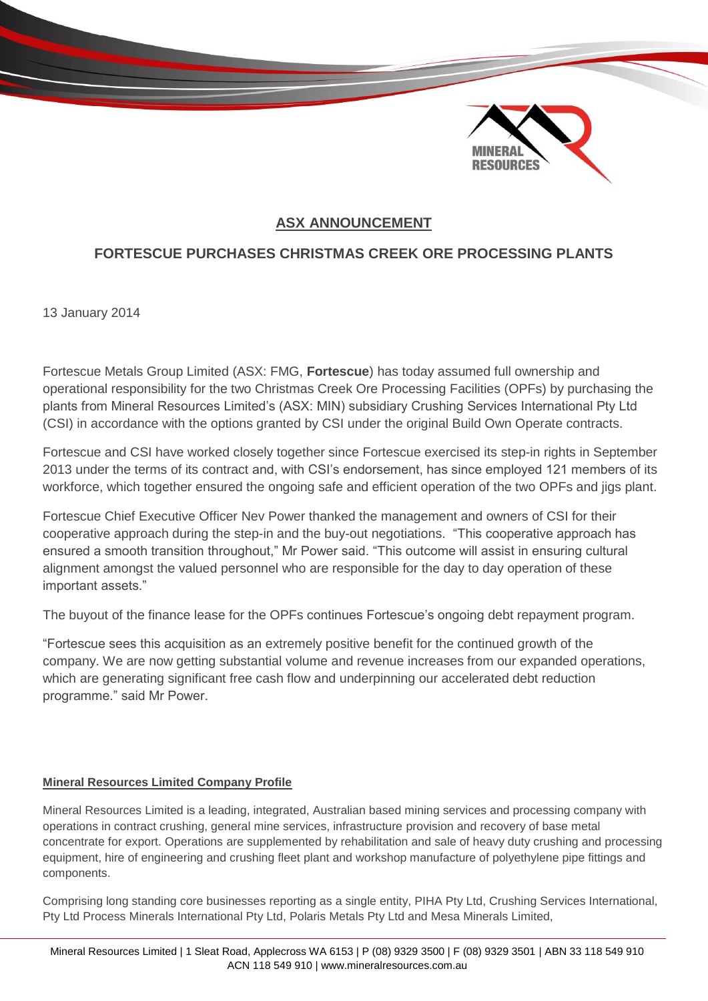

## **ASX ANNOUNCEMENT**

## **FORTESCUE PURCHASES CHRISTMAS CREEK ORE PROCESSING PLANTS**

13 January 2014

Fortescue Metals Group Limited (ASX: FMG, **Fortescue**) has today assumed full ownership and operational responsibility for the two Christmas Creek Ore Processing Facilities (OPFs) by purchasing the plants from Mineral Resources Limited's (ASX: MIN) subsidiary Crushing Services International Pty Ltd (CSI) in accordance with the options granted by CSI under the original Build Own Operate contracts.

Fortescue and CSI have worked closely together since Fortescue exercised its step-in rights in September 2013 under the terms of its contract and, with CSI's endorsement, has since employed 121 members of its workforce, which together ensured the ongoing safe and efficient operation of the two OPFs and jigs plant.

Fortescue Chief Executive Officer Nev Power thanked the management and owners of CSI for their cooperative approach during the step-in and the buy-out negotiations. "This cooperative approach has ensured a smooth transition throughout," Mr Power said. "This outcome will assist in ensuring cultural alignment amongst the valued personnel who are responsible for the day to day operation of these important assets."

The buyout of the finance lease for the OPFs continues Fortescue's ongoing debt repayment program.

"Fortescue sees this acquisition as an extremely positive benefit for the continued growth of the company. We are now getting substantial volume and revenue increases from our expanded operations, which are generating significant free cash flow and underpinning our accelerated debt reduction programme." said Mr Power.

## **Mineral Resources Limited Company Profile**

Mineral Resources Limited is a leading, integrated, Australian based mining services and processing company with operations in contract crushing, general mine services, infrastructure provision and recovery of base metal concentrate for export. Operations are supplemented by rehabilitation and sale of heavy duty crushing and processing equipment, hire of engineering and crushing fleet plant and workshop manufacture of polyethylene pipe fittings and components.

Comprising long standing core businesses reporting as a single entity, PIHA Pty Ltd, Crushing Services International, Pty Ltd Process Minerals International Pty Ltd, Polaris Metals Pty Ltd and Mesa Minerals Limited,